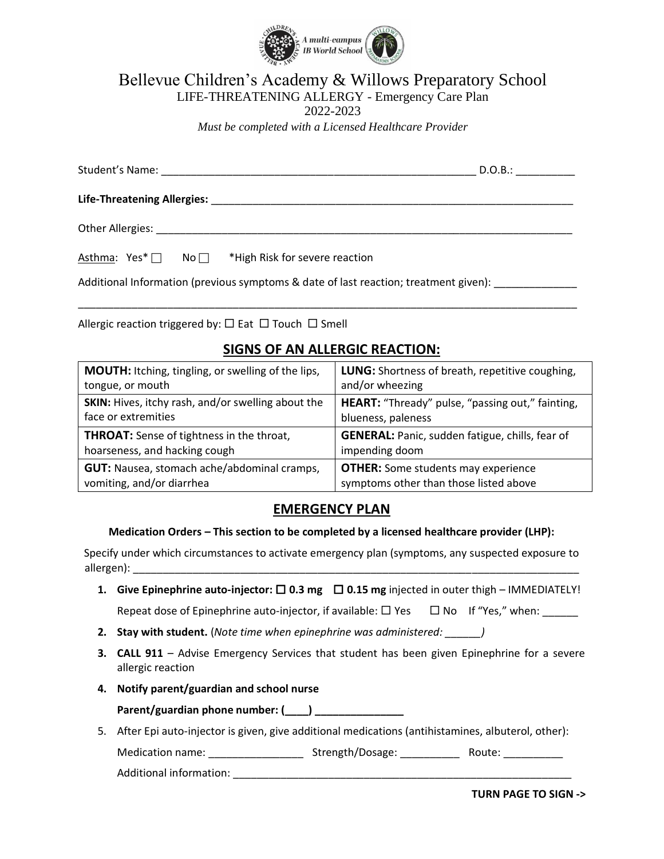

Bellevue Children's Academy & Willows Preparatory School

LIFE-THREATENING ALLERGY - Emergency Care Plan

2022-2023

*Must be completed with a Licensed Healthcare Provider*

|                                                                                      | D.O.B.: |  |  |  |
|--------------------------------------------------------------------------------------|---------|--|--|--|
|                                                                                      |         |  |  |  |
|                                                                                      |         |  |  |  |
| $No \nightharpoonup$ *High Risk for severe reaction<br>Asthma: $Yes^*$ $\Box$        |         |  |  |  |
| Additional Information (previous symptoms & date of last reaction; treatment given): |         |  |  |  |

Allergic reaction triggered by:  $\Box$  Eat  $\Box$  Touch  $\Box$  Smell

## **SIGNS OF AN ALLERGIC REACTION:**

\_\_\_\_\_\_\_\_\_\_\_\_\_\_\_\_\_\_\_\_\_\_\_\_\_\_\_\_\_\_\_\_\_\_\_\_\_\_\_\_\_\_\_\_\_\_\_\_\_\_\_\_\_\_\_\_\_\_\_\_\_\_\_\_\_\_\_\_\_\_\_\_\_\_\_\_\_\_\_\_\_\_\_\_

| <b>LUNG:</b> Shortness of breath, repetitive coughing,<br>and/or wheezing            |
|--------------------------------------------------------------------------------------|
| HEART: "Thready" pulse, "passing out," fainting,<br>blueness, paleness               |
| <b>GENERAL:</b> Panic, sudden fatigue, chills, fear of                               |
| impending doom                                                                       |
| <b>OTHER:</b> Some students may experience<br>symptoms other than those listed above |
|                                                                                      |

## **EMERGENCY PLAN**

#### **Medication Orders – This section to be completed by a licensed healthcare provider (LHP):**

Specify under which circumstances to activate emergency plan (symptoms, any suspected exposure to allergen):

- **1.** Give Epinephrine auto-injector:  $\Box$  0.3 mg  $\Box$  0.15 mg injected in outer thigh IMMEDIATELY! Repeat dose of Epinephrine auto-injector, if available:  $\Box$  Yes  $\Box$  No If "Yes," when:
- **2. Stay with student.** (*Note time when epinephrine was administered: \_\_\_\_\_\_)*
- **3. CALL 911** Advise Emergency Services that student has been given Epinephrine for a severe allergic reaction
- **4. Notify parent/guardian and school nurse**

**Parent/guardian phone number: (\_\_\_\_) \_\_\_\_\_\_\_\_\_\_\_\_\_\_\_**

5. After Epi auto-injector is given, give additional medications (antihistamines, albuterol, other):

Medication name: \_\_\_\_\_\_\_\_\_\_\_\_\_\_\_\_\_\_\_\_ Strength/Dosage: \_\_\_\_\_\_\_\_\_\_\_\_\_\_ Route: \_\_\_\_

Additional information: **Additional** information:

**TURN PAGE TO SIGN ->**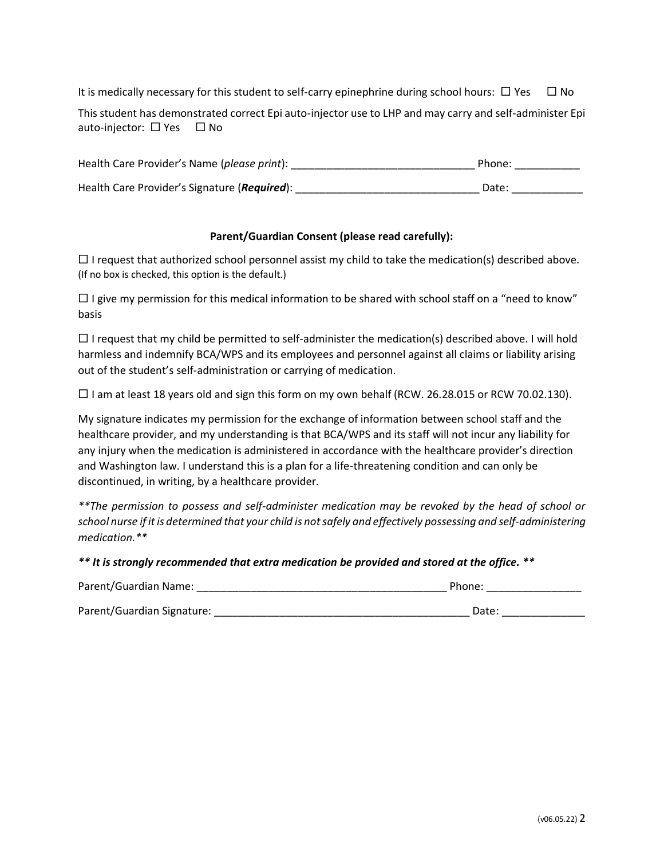It is medically necessary for this student to self-carry epinephrine during school hours:  $\Box$  Yes  $\Box$  No

This student has demonstrated correct Epi auto-injector use to LHP and may carry and self-administer Epi auto-injector:  $\Box$  Yes  $\Box$  No

| Health Care Provider's Name (please print):  | Phone: |
|----------------------------------------------|--------|
| Health Care Provider's Signature (Required): | Date:  |

### **Parent/Guardian Consent (please read carefully):**

 $\Box$  I request that authorized school personnel assist my child to take the medication(s) described above. (If no box is checked, this option is the default.)

 $\Box$  I give my permission for this medical information to be shared with school staff on a "need to know" basis

 $\Box$  I request that my child be permitted to self-administer the medication(s) described above. I will hold harmless and indemnify BCA/WPS and its employees and personnel against all claims or liability arising out of the student's self-administration or carrying of medication.

 $\Box$  I am at least 18 years old and sign this form on my own behalf (RCW. 26.28.015 or RCW 70.02.130).

My signature indicates my permission for the exchange of information between school staff and the healthcare provider, and my understanding is that BCA/WPS and its staff will not incur any liability for any injury when the medication is administered in accordance with the healthcare provider's direction and Washington law. I understand this is a plan for a life-threatening condition and can only be discontinued, in writing, by a healthcare provider.

*\*\*The permission to possess and self-administer medication may be revoked by the head of school or school nurse if it is determined that your child is not safely and effectively possessing and self-administering medication.\*\**

*\*\* It is strongly recommended that extra medication be provided and stored at the office. \*\**

| Parent/Guardian Name:      | Phone: |
|----------------------------|--------|
| Parent/Guardian Signature: | Date:  |